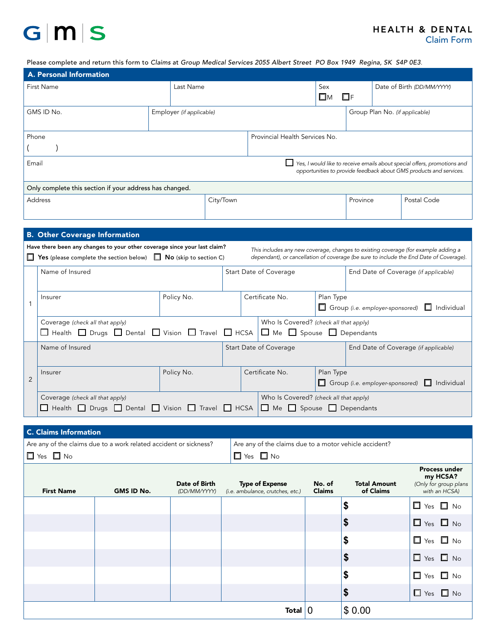# $G|M|S$

### Please complete and return this form to *Claims* at *Group Medical Services 2055 Albert Street PO Box 1949 Regina, SK S4P 0E3*.

| A. Personal Information                                                                                                                                                                                                                                                                                                                   |                          |                                |                        |                                                                   |                                                                  |                                                         |                                      |  |                            |  |  |
|-------------------------------------------------------------------------------------------------------------------------------------------------------------------------------------------------------------------------------------------------------------------------------------------------------------------------------------------|--------------------------|--------------------------------|------------------------|-------------------------------------------------------------------|------------------------------------------------------------------|---------------------------------------------------------|--------------------------------------|--|----------------------------|--|--|
| First Name                                                                                                                                                                                                                                                                                                                                | Last Name                |                                |                        |                                                                   |                                                                  | Sex<br>$\square$ M                                      | $\Box$ F                             |  | Date of Birth (DD/MM/YYYY) |  |  |
| GMS ID No.                                                                                                                                                                                                                                                                                                                                | Employer (if applicable) |                                |                        |                                                                   | Group Plan No. (if applicable)                                   |                                                         |                                      |  |                            |  |  |
| Phone                                                                                                                                                                                                                                                                                                                                     |                          | Provincial Health Services No. |                        |                                                                   |                                                                  |                                                         |                                      |  |                            |  |  |
| Email<br>Yes, I would like to receive emails about special offers, promotions and<br>opportunities to provide feedback about GMS products and services.                                                                                                                                                                                   |                          |                                |                        |                                                                   |                                                                  |                                                         |                                      |  |                            |  |  |
| Only complete this section if your address has changed.                                                                                                                                                                                                                                                                                   |                          |                                |                        |                                                                   |                                                                  |                                                         |                                      |  |                            |  |  |
| <b>Address</b>                                                                                                                                                                                                                                                                                                                            |                          |                                | City/Town              |                                                                   |                                                                  |                                                         | Province                             |  | Postal Code                |  |  |
|                                                                                                                                                                                                                                                                                                                                           |                          |                                |                        |                                                                   |                                                                  |                                                         |                                      |  |                            |  |  |
| <b>B. Other Coverage Information</b>                                                                                                                                                                                                                                                                                                      |                          |                                |                        |                                                                   |                                                                  |                                                         |                                      |  |                            |  |  |
| Have there been any changes to your other coverage since your last claim?<br>This includes any new coverage, changes to existing coverage (for example adding a<br>$\Box$ Yes (please complete the section below) $\Box$ No (skip to section C)<br>dependant), or cancellation of coverage (be sure to include the End Date of Coverage). |                          |                                |                        |                                                                   |                                                                  |                                                         |                                      |  |                            |  |  |
| Name of Insured                                                                                                                                                                                                                                                                                                                           |                          |                                | Start Date of Coverage |                                                                   |                                                                  | End Date of Coverage (if applicable)                    |                                      |  |                            |  |  |
| Insurer<br>$\mathbf{1}$                                                                                                                                                                                                                                                                                                                   | Policy No.               | Certificate No.                |                        | Plan Type<br>Group (i.e. employer-sponsored)<br>$\Box$ Individual |                                                                  |                                                         |                                      |  |                            |  |  |
| Who Is Covered? (check all that apply)<br>Coverage (check all that apply)<br>□ Health □ Drugs □ Dental □ Vision □ Travel □ HCSA<br>$\Box$ Me $\Box$ Spouse $\Box$ Dependants                                                                                                                                                              |                          |                                |                        |                                                                   |                                                                  |                                                         |                                      |  |                            |  |  |
| Name of Insured                                                                                                                                                                                                                                                                                                                           |                          |                                | Start Date of Coverage |                                                                   |                                                                  |                                                         | End Date of Coverage (if applicable) |  |                            |  |  |
| Insurer<br>$\overline{2}$                                                                                                                                                                                                                                                                                                                 |                          | Policy No.                     |                        | Certificate No.                                                   |                                                                  | Plan Type<br>Group (i.e. employer-sponsored) Individual |                                      |  |                            |  |  |
| Coverage (check all that apply)<br>$\Box$ Health $\Box$ Drugs $\Box$ Dental $\Box$ Vision $\Box$ Travel $\Box$ HCSA                                                                                                                                                                                                                       |                          |                                |                        |                                                                   | Who Is Covered? (check all that apply)<br>Me Spouse D Dependants |                                                         |                                      |  |                            |  |  |
| <b>C. Claims Information</b>                                                                                                                                                                                                                                                                                                              |                          |                                |                        |                                                                   |                                                                  |                                                         |                                      |  |                            |  |  |
| Are any of the claims due to a work related accident or sickness?<br>Are any of the claims due to a motor vehicle accident?                                                                                                                                                                                                               |                          |                                |                        |                                                                   |                                                                  |                                                         |                                      |  |                            |  |  |
| $\square$ Yes $\square$ No<br>$\Box$ Yes $\Box$ No                                                                                                                                                                                                                                                                                        |                          |                                |                        |                                                                   |                                                                  |                                                         |                                      |  |                            |  |  |

| <b>First Name</b> | GMS ID No. | Date of Birth<br>(DD/MM/YYYY) | <b>Type of Expense</b><br>(i.e. ambulance, crutches, etc.) | No. of<br><b>Claims</b> | <b>Total Amount</b><br>of Claims | <b>Process under</b><br>my HCSA?<br>(Only for group plans<br>with an HCSA) |
|-------------------|------------|-------------------------------|------------------------------------------------------------|-------------------------|----------------------------------|----------------------------------------------------------------------------|
|                   |            |                               |                                                            |                         | \$                               | $\Box$ Yes $\Box$ No                                                       |
|                   |            |                               |                                                            |                         | \$                               | $\Box$ Yes $\Box$ No                                                       |
|                   |            |                               |                                                            |                         | \$                               | $\Box$ Yes $\Box$ No                                                       |
|                   |            |                               |                                                            |                         | \$                               | $\Box$ Yes $\Box$ No                                                       |
|                   |            |                               |                                                            |                         | \$                               | $\Box$ Yes $\Box$ No                                                       |
|                   |            |                               |                                                            |                         | \$                               | $\Box$ Yes $\Box$ No                                                       |
|                   |            |                               | Total $ 0$                                                 |                         | \$0.00                           |                                                                            |